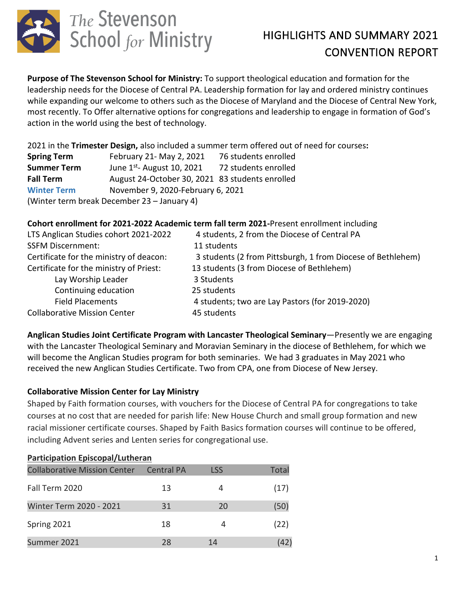

**Purpose of The Stevenson School for Ministry:** To support theological education and formation for the leadership needs for the Diocese of Central PA. Leadership formation for lay and ordered ministry continues while expanding our welcome to others such as the Diocese of Maryland and the Diocese of Central New York, most recently. To Offer alternative options for congregations and leadership to engage in formation of God's action in the world using the best of technology.

2021 in the **Trimester Design,** also included a summer term offered out of need for courses**:** 

| <b>Spring Term</b>                          | February 21- May 2, 2021                        | 76 students enrolled |  |  |  |  |  |
|---------------------------------------------|-------------------------------------------------|----------------------|--|--|--|--|--|
| <b>Summer Term</b>                          | June $1^{st}$ - August 10, 2021                 | 72 students enrolled |  |  |  |  |  |
| <b>Fall Term</b>                            | August 24-October 30, 2021 83 students enrolled |                      |  |  |  |  |  |
| <b>Winter Term</b>                          | November 9, 2020-February 6, 2021               |                      |  |  |  |  |  |
| (Winter term break December 23 - January 4) |                                                 |                      |  |  |  |  |  |

### **Cohort enrollment for 2021-2022 Academic term fall term 2021-**Present enrollment including

| LTS Anglican Studies cohort 2021-2022   | 4 students, 2 from the Diocese of Central PA                |
|-----------------------------------------|-------------------------------------------------------------|
| <b>SSFM Discernment:</b>                | 11 students                                                 |
| Certificate for the ministry of deacon: | 3 students (2 from Pittsburgh, 1 from Diocese of Bethlehem) |
| Certificate for the ministry of Priest: | 13 students (3 from Diocese of Bethlehem)                   |
| Lay Worship Leader                      | 3 Students                                                  |
| Continuing education                    | 25 students                                                 |
| <b>Field Placements</b>                 | 4 students; two are Lay Pastors (for 2019-2020)             |
| <b>Collaborative Mission Center</b>     | 45 students                                                 |

**Anglican Studies Joint Certificate Program with Lancaster Theological Seminary**—Presently we are engaging with the Lancaster Theological Seminary and Moravian Seminary in the diocese of Bethlehem, for which we will become the Anglican Studies program for both seminaries. We had 3 graduates in May 2021 who received the new Anglican Studies Certificate. Two from CPA, one from Diocese of New Jersey.

### **Collaborative Mission Center for Lay Ministry**

Shaped by Faith formation courses, with vouchers for the Diocese of Central PA for congregations to take courses at no cost that are needed for parish life: New House Church and small group formation and new racial missioner certificate courses. Shaped by Faith Basics formation courses will continue to be offered, including Advent series and Lenten series for congregational use.

| <b>Participation Episcopal/Lutheran</b> |                   |            |       |  |  |  |  |
|-----------------------------------------|-------------------|------------|-------|--|--|--|--|
| <b>Collaborative Mission Center</b>     | <b>Central PA</b> | <b>LSS</b> | Total |  |  |  |  |
| Fall Term 2020                          | 13                | 4          | (17)  |  |  |  |  |
| <b>Winter Term 2020 - 2021</b>          | 31                | 20         | (50)  |  |  |  |  |
| Spring 2021                             | 18                | 4          | (22)  |  |  |  |  |
| Summer 2021                             | 28                | 14         | (42)  |  |  |  |  |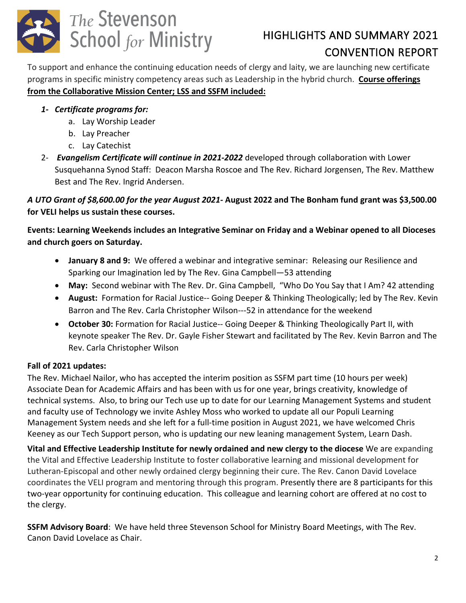

To support and enhance the continuing education needs of clergy and laity, we are launching new certificate programs in specific ministry competency areas such as Leadership in the hybrid church. **Course offerings from the Collaborative Mission Center; LSS and SSFM included:**

### *1- Certificate programs for:*

- a. Lay Worship Leader
- b. Lay Preacher
- c. Lay Catechist
- 2- *Evangelism Certificate will continue in 2021-2022* developed through collaboration with Lower Susquehanna Synod Staff: Deacon Marsha Roscoe and The Rev. Richard Jorgensen, The Rev. Matthew Best and The Rev. Ingrid Andersen.

### *A UTO Grant of \$8,600.00 for the year August 2021-* **August 2022 and The Bonham fund grant was \$3,500.00 for VELI helps us sustain these courses.**

**Events: Learning Weekends includes an Integrative Seminar on Friday and a Webinar opened to all Dioceses and church goers on Saturday.** 

- **January 8 and 9:** We offered a webinar and integrative seminar: Releasing our Resilience and Sparking our Imagination led by The Rev. Gina Campbell—53 attending
- **May:** Second webinar with The Rev. Dr. Gina Campbell, "Who Do You Say that I Am? 42 attending
- **August:** Formation for Racial Justice-- Going Deeper & Thinking Theologically; led by The Rev. Kevin Barron and The Rev. Carla Christopher Wilson---52 in attendance for the weekend
- **October 30:** Formation for Racial Justice-- Going Deeper & Thinking Theologically Part II, with keynote speaker The Rev. Dr. Gayle Fisher Stewart and facilitated by The Rev. Kevin Barron and The Rev. Carla Christopher Wilson

### **Fall of 2021 updates:**

The Rev. Michael Nailor, who has accepted the interim position as SSFM part time (10 hours per week) Associate Dean for Academic Affairs and has been with us for one year, brings creativity, knowledge of technical systems. Also, to bring our Tech use up to date for our Learning Management Systems and student and faculty use of Technology we invite Ashley Moss who worked to update all our Populi Learning Management System needs and she left for a full-time position in August 2021, we have welcomed Chris Keeney as our Tech Support person, who is updating our new leaning management System, Learn Dash.

**Vital and Effective Leadership Institute for newly ordained and new clergy to the diocese** We are expanding the Vital and Effective Leadership Institute to foster collaborative learning and missional development for Lutheran-Episcopal and other newly ordained clergy beginning their cure. The Rev. Canon David Lovelace coordinates the VELI program and mentoring through this program. Presently there are 8 participants for this two-year opportunity for continuing education. This colleague and learning cohort are offered at no cost to the clergy.

**SSFM Advisory Board**: We have held three Stevenson School for Ministry Board Meetings, with The Rev. Canon David Lovelace as Chair.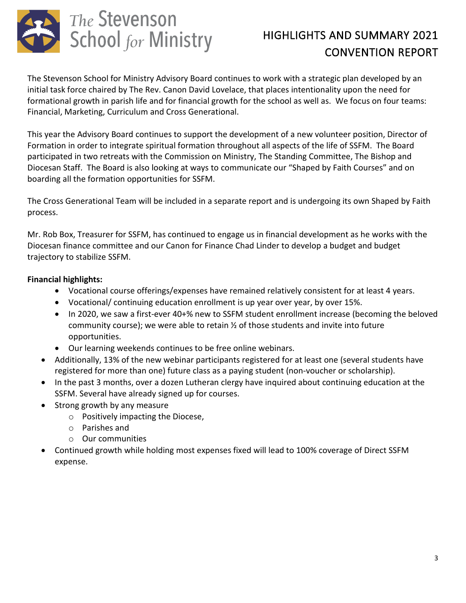

The Stevenson School for Ministry Advisory Board continues to work with a strategic plan developed by an initial task force chaired by The Rev. Canon David Lovelace, that places intentionality upon the need for formational growth in parish life and for financial growth for the school as well as. We focus on four teams: Financial, Marketing, Curriculum and Cross Generational.

This year the Advisory Board continues to support the development of a new volunteer position, Director of Formation in order to integrate spiritual formation throughout all aspects of the life of SSFM. The Board participated in two retreats with the Commission on Ministry, The Standing Committee, The Bishop and Diocesan Staff. The Board is also looking at ways to communicate our "Shaped by Faith Courses" and on boarding all the formation opportunities for SSFM.

The Cross Generational Team will be included in a separate report and is undergoing its own Shaped by Faith process.

Mr. Rob Box, Treasurer for SSFM, has continued to engage us in financial development as he works with the Diocesan finance committee and our Canon for Finance Chad Linder to develop a budget and budget trajectory to stabilize SSFM.

### **Financial highlights:**

- Vocational course offerings/expenses have remained relatively consistent for at least 4 years.
- Vocational/ continuing education enrollment is up year over year, by over 15%.
- In 2020, we saw a first-ever 40+% new to SSFM student enrollment increase (becoming the beloved community course); we were able to retain  $\frac{1}{2}$  of those students and invite into future opportunities.
- Our learning weekends continues to be free online webinars.
- Additionally, 13% of the new webinar participants registered for at least one (several students have registered for more than one) future class as a paying student (non-voucher or scholarship).
- In the past 3 months, over a dozen Lutheran clergy have inquired about continuing education at the SSFM. Several have already signed up for courses.
- Strong growth by any measure
	- o Positively impacting the Diocese,
	- o Parishes and
	- o Our communities
- Continued growth while holding most expenses fixed will lead to 100% coverage of Direct SSFM expense.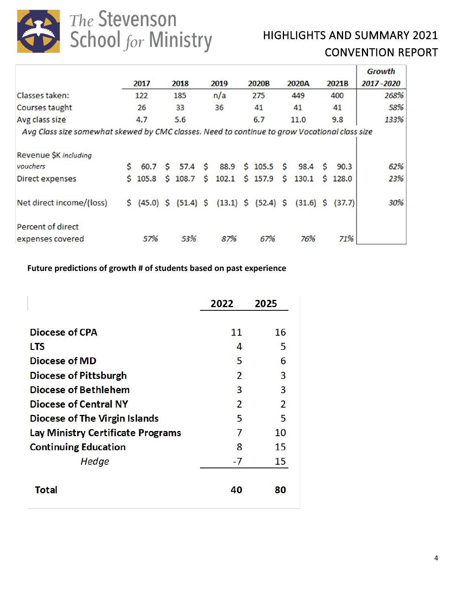

The Stevenson<br>School for Ministry

## HIGHLIGHTS AND SUMMARY 2021 CONVENTION REPORT

|                                                                                               |    |         |              |                   |                                                 |             |     |                 |                      | <b>Growth</b> |      |
|-----------------------------------------------------------------------------------------------|----|---------|--------------|-------------------|-------------------------------------------------|-------------|-----|-----------------|----------------------|---------------|------|
|                                                                                               |    | 2017    |              | 2018              | 2019                                            | 2020B       |     | 2020A           | 2021B                | 2017-2020     |      |
| Classes taken:                                                                                |    | 122     |              | 185               | n/a                                             | 275         |     | 449             | 400                  |               | 268% |
| Courses taught                                                                                |    | 26      |              | 33                | 36                                              | 41          |     | 41              | 41                   |               | 58%  |
| Avg class size                                                                                |    | 4.7     |              | 5.6               |                                                 | 6.7         |     | 11.0            | 9.8                  |               | 133% |
| Avg Class size somewhat skewed by CMC classes. Need to continue to grow Vocational class size |    |         |              |                   |                                                 |             |     |                 |                      |               |      |
| Revenue \$K including                                                                         |    |         |              |                   |                                                 |             |     |                 |                      |               |      |
| vouchers                                                                                      | Ś  | 60.7    | S.           | 57.4 <sup>5</sup> | 88.9                                            | $$105.5$ \$ |     | $98.4 \quad $5$ | 90.3                 |               | 62%  |
| Direct expenses                                                                               |    | \$105.8 | <sub>S</sub> | 108.7             | \$<br>102.1                                     | \$157.9     | \$. | 130.1           | \$128.0              |               | 23%  |
| Net direct income/(loss)                                                                      | \$ |         |              |                   | $(45.0)$ \$ $(51.4)$ \$ $(13.1)$ \$ $(52.4)$ \$ |             |     |                 | $(31.6)$ \$ $(37.7)$ |               | 30%  |
| <b>Percent of direct</b>                                                                      |    |         |              |                   |                                                 |             |     |                 |                      |               |      |
| expenses covered                                                                              |    | 57%     |              | 53%               | 87%                                             | 67%         |     | 76%             | 71%                  |               |      |

**Future predictions of growth # of students based on past experience**

|                                          | 2022           | 2025           |
|------------------------------------------|----------------|----------------|
| Diocese of CPA                           | 11             | 16             |
| <b>LTS</b>                               | 4              | 5              |
| <b>Diocese of MD</b>                     | 5              | 6              |
| <b>Diocese of Pittsburgh</b>             | 2              | 3              |
| Diocese of Bethlehem                     | 3              | 3              |
| <b>Diocese of Central NY</b>             | $\overline{2}$ | $\overline{2}$ |
| <b>Diocese of The Virgin Islands</b>     | 5              | 5              |
| <b>Lay Ministry Certificate Programs</b> | 7              | 10             |
| <b>Continuing Education</b>              | 8              | 15             |
| Hedge                                    | -7             | 15             |
| <b>Total</b>                             | 40             | 80             |